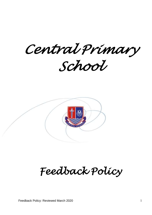*Central Primary School* 



# *Feedback Policy*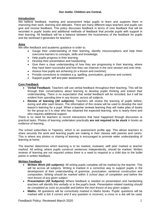# **Introduction**

We believe feedback, marking and assessment helps pupils to learn and supports them in improving their work, learning and attitudes. There are many different ways teachers and pupils can give and receive feedback. This policy discusses feedback in terms of core feedback that will be recorded in pupils' books and additional methods of feedback that provide pupils with support in their learning. All feedback will be a balance between the incisiveness of the feedback for pupils and the workload it generates for teachers

# **Aims**

We offer feedback and academic guidance in order to:

- Gauge their understanding of their learning, identify misconceptions and help them overcome barriers to concepts, skills and knowledge;
- Help pupils progress in their learning;
- Develop their presentation and handwriting;
- Give them a clear understanding of how they are progressing in their learning, where they have been successful and how they can improve in the next session and over time;
- Assess how pupils are achieving (in a lesson and overtime);
- Provide corrections to mistakes e.g. spelling, punctuation, grammar and content;
- Support pupils' self and peer assessment.

## **Core Feedback**

- **Verbal Feedback:** Teachers will use verbal feedback throughout their teaching. This will be through their conversations about learning to develop pupils thinking and extend their understanding. *There is no expectation that verbal feedback will be recorded, but it will be evident from spending time in any lesson, across all subjects.*
- **Review of learning (All subjects):** Teachers will review the learning of pupils before, during and after each lesson. The information of this review will be used to develop the next lesson's learning for a pupil. When a teacher reviews learning they will make piles of books for the group so it is clear who has obtained the expected learning, who is nearly there and who requires additional support.

There is no need for teachers to record interactions that have happened through discussion or practical tasks. Photos of learning undertaken practically **are not required to be stuck** in books as evidence of learning.

The school subscribes to Tapestry, which is an assessment profile app. This allows teachers to share securely the work and learning pupils are making in their classes with parents and carers. This is where any photos or sharing of learning is encouraged to promote wider understanding of learning at home.

The teacher determines which learning is to be marked, reviewed, self/ peer marked or teacher marked. All writing, where pupils construct sentences independently, should be marked. Written reviews of learning are not required unless there is a need to respond to a child due to the bullet points in written feedback.

## **Written Feedback**

- **Written Work (All subjects):** All writing pupils complete will be marked by the teacher. This will be across all subjects. Writing is marked in a corrective way to support pupils in the development of their understanding of grammar, punctuation, sentence construction and composition. *Writing should be marked within 5 school days of completion and before the next lesson of any given subject.*
- **Presentation (All Subjects):** Where feedback is needed on presentation and handwriting teachers will identify this verbally or in the pupil's book. *Presentation related marking should be completed as soon as possible and before the next lesson of any given subject.*
- **Maths:** All questions will be correctively marked in Maths books. Pupils' questions will be marked with a tick if correct and if any question is incorrect, a cross or a dot will be used.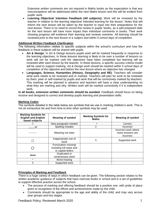Extensive written comments are not required in Maths books as the expectation is that any misconceptions will be addressed within the next Maths lesson and this will be evident from pupils' work.

 **Learning Objective/ Intention Feedback (All subjects):** Work will be reviewed by the teacher in relation to the learning objective/ intended learning for the lesson. Notes that will inform the next lesson will be taken by the teacher to input into their preparations for the next lesson. There is no need to record this review in pupils' books, as a well prepared slide for the next lesson will have more impact than individual comments in books. Their work showing progress will evidence their learning and reviews overtime. *All learning should be reviewed prior to the next lesson in a subject and within 5 school days of completion.* 

## **Additional Written Feedback Clarification**

The following information relates to specific subjects within the school's curriculum and how the feedback in these subjects will be shared with pupils.

- **Art & Design**: In Art & Design lessons pupils work will be marked frequently in response to the learning objectives. In these lessons learning is likely to be over a number of lessons so work will not be marked until the objectives have been completed but learning will be reviewed after each lesson by the teacher. In these lessons, a specific success criteria model will be used to support marking. *Art & Design work should be marked within 5 school days of completion of the objective and before the next lesson where an objective has changed.*
- **Languages, Science, Humanities (History, Geography and RE)**: Teachers will consider what work needs to be reviewed and or marked. Teachers will plan for work to be reviewed by them, peer or self-marked by pupils and work that will be correctively marked by teachers. This marking will be planned in advance and teachers will have a clear understanding on what they are marking and why. Written work will be marked correctively if it is independent work*.*

**In all books, extensive written comments should be avoided.** Feedback should focus on being incisive and designed to correct and develop pupils learning and presentation skills.

## **Marking Codes**

The symbols detailed in the table below are symbols that we use in marking children's work. This is not an exhaustive list and from time to time other symbols may be used.

| <b>Marking Symbols for</b><br><b>English and English</b><br>based subjects | <b>Meaning of symbol</b>                                               | <b>Marking Symbols for</b><br><b>Maths</b> | <b>Meaning of symbol</b>                              |
|----------------------------------------------------------------------------|------------------------------------------------------------------------|--------------------------------------------|-------------------------------------------------------|
|                                                                            | New paragraph needed                                                   |                                            | Correct                                               |
| sp                                                                         | Spelling mistake                                                       | X                                          | Incorrect                                             |
|                                                                            | Meaning not clear                                                      | $\mathbf{r}$                               | Incorrect work where<br>many answers are<br>incorrect |
|                                                                            | Inappropriate use of<br>word                                           | S                                          | Supported work                                        |
|                                                                            | Punctuation missing/<br>including full stops and<br>or capital letters |                                            |                                                       |
| Word                                                                       | Duplicated or<br>unnecessary word                                      |                                            |                                                       |
| $\wedge$                                                                   | Word missing                                                           |                                            |                                                       |
| S                                                                          | Supported work                                                         |                                            |                                                       |

## **Principles of Marking and Feedback**

There is a huge variety of ways in which feedback can be given. The following section relates to the written academic guidance of subjects that have exercise books in school and is a set of guidelines to support effective practice across the school.

- The process of marking and offering feedback should be a positive one, with pride of place given to recognition of the efforts and achievements made by the child.
- Comments should be appropriate to the age and ability of the child, and may vary across year groups and key stages.

Feedback Policy: Reviewed March 2020 3